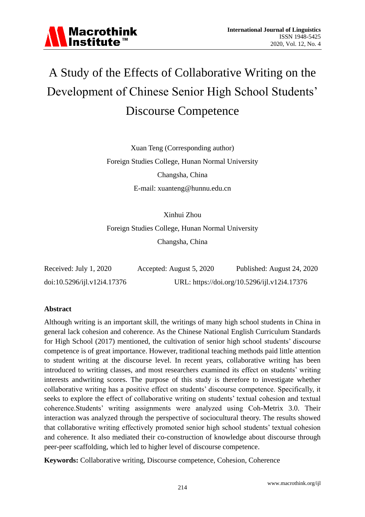

### A Study of the Effects of Collaborative Writing on the Development of Chinese Senior High School Students' Discourse Competence

Xuan Teng (Corresponding author) Foreign Studies College, Hunan Normal University Changsha, China E-mail: xuanteng@hunnu.edu.cn

Xinhui Zhou

Foreign Studies College, Hunan Normal University

Changsha, China

| Received: July 1, 2020      | Accepted: August 5, 2020 | Published: August 24, 2020                   |
|-----------------------------|--------------------------|----------------------------------------------|
| doi:10.5296/ijl.v12i4.17376 |                          | URL: https://doi.org/10.5296/ijl.v12i4.17376 |

#### **Abstract**

Although writing is an important skill, the writings of many high school students in China in general lack cohesion and coherence. As the Chinese National English Curriculum Standards for High School (2017) mentioned, the cultivation of senior high school students' discourse competence is of great importance. However, traditional teaching methods paid little attention to student writing at the discourse level. In recent years, collaborative writing has been introduced to writing classes, and most researchers examined its effect on students' writing interests andwriting scores. The purpose of this study is therefore to investigate whether collaborative writing has a positive effect on students' discourse competence. Specifically, it seeks to explore the effect of collaborative writing on students' textual cohesion and textual coherence.Students' writing assignments were analyzed using Coh-Metrix 3.0. Their interaction was analyzed through the perspective of sociocultural theory. The results showed that collaborative writing effectively promoted senior high school students' textual cohesion and coherence. It also mediated their co-construction of knowledge about discourse through peer-peer scaffolding, which led to higher level of discourse competence.

**Keywords:** Collaborative writing, Discourse competence, Cohesion, Coherence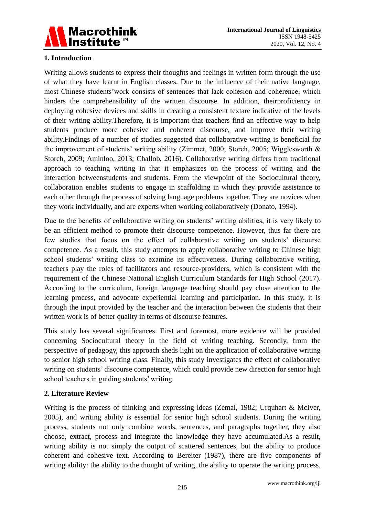

#### **1. Introduction**

Writing allows students to express their thoughts and feelings in written form through the use of what they have learnt in English classes. Due to the influence of their native language, most Chinese students'work consists of sentences that lack cohesion and coherence, which hinders the comprehensibility of the written discourse. In addition, theirproficiency in deploying cohesive devices and skills in creating a consistent textare indicative of the levels of their writing ability.Therefore, it is important that teachers find an effective way to help students produce more cohesive and coherent discourse, and improve their writing ability.Findings of a number of studies suggested that collaborative writing is beneficial for the improvement of students' writing ability (Zimmet, 2000; Storch, 2005; Wigglesworth & Storch, 2009; Aminloo, 2013; Challob, 2016). Collaborative writing differs from traditional approach to teaching writing in that it emphasizes on the process of writing and the interaction betweenstudents and students. From the viewpoint of the Sociocultural theory, collaboration enables students to engage in scaffolding in which they provide assistance to each other through the process of solving language problems together. They are novices when they work individually, and are experts when working collaboratively (Donato, 1994).

Due to the benefits of collaborative writing on students' writing abilities, it is very likely to be an efficient method to promote their discourse competence. However, thus far there are few studies that focus on the effect of collaborative writing on students' discourse competence. As a result, this study attempts to apply collaborative writing to Chinese high school students' writing class to examine its effectiveness. During collaborative writing, teachers play the roles of facilitators and resource-providers, which is consistent with the requirement of the Chinese National English Curriculum Standards for High School (2017). According to the curriculum, foreign language teaching should pay close attention to the learning process, and advocate experiential learning and participation. In this study, it is through the input provided by the teacher and the interaction between the students that their written work is of better quality in terms of discourse features.

This study has several significances. First and foremost, more evidence will be provided concerning Sociocultural theory in the field of writing teaching. Secondly, from the perspective of pedagogy, this approach sheds light on the application of collaborative writing to senior high school writing class. Finally, this study investigates the effect of collaborative writing on students' discourse competence, which could provide new direction for senior high school teachers in guiding students' writing.

#### **2. Literature Review**

Writing is the process of thinking and expressing ideas (Zemal, 1982; Urquhart & McIver, 2005), and writing ability is essential for senior high school students. During the writing process, students not only combine words, sentences, and paragraphs together, they also choose, extract, process and integrate the knowledge they have accumulated.As a result, writing ability is not simply the output of scattered sentences, but the ability to produce coherent and cohesive text. According to Bereiter (1987), there are five components of writing ability: the ability to the thought of writing, the ability to operate the writing process,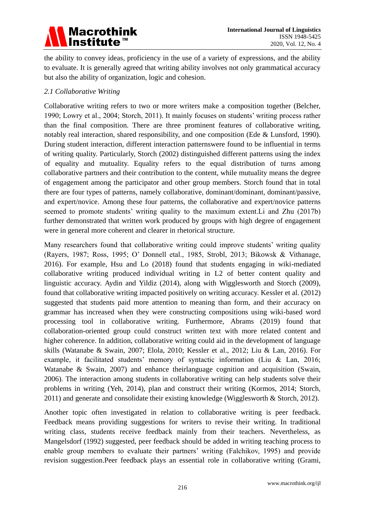## Macrothink<br>|Institute™

the ability to convey ideas, proficiency in the use of a variety of expressions, and the ability to evaluate. It is generally agreed that writing ability involves not only grammatical accuracy but also the ability of organization, logic and cohesion.

#### *2.1 Collaborative Writing*

Collaborative writing refers to two or more writers make a composition together (Belcher, 1990; Lowry et al., 2004; Storch, 2011). It mainly focuses on students' writing process rather than the final composition. There are three prominent features of collaborative writing, notably real interaction, shared responsibility, and one composition (Ede & Lunsford, 1990). During student interaction, different interaction patternswere found to be influential in terms of writing quality. Particularly, Storch (2002) distinguished different patterns using the index of equality and mutuality. Equality refers to the equal distribution of turns among collaborative partners and their contribution to the content, while mutuality means the degree of engagement among the participator and other group members. Storch found that in total there are four types of patterns, namely collaborative, dominant/dominant, dominant/passive, and expert/novice. Among these four patterns, the collaborative and expert/novice patterns seemed to promote students' writing quality to the maximum extent.Li and Zhu (2017b) further demonstrated that written work produced by groups with high degree of engagement were in general more coherent and clearer in rhetorical structure.

Many researchers found that collaborative writing could improve students' writing quality (Rayers, 1987; Ross, 1995; O' Donnell etal., 1985, Strobl, 2013; Bikowsk & Vithanage, 2016). For example, Hsu and Lo (2018) found that students engaging in wiki-mediated collaborative writing produced individual writing in L2 of better content quality and linguistic accuracy. Aydin and Yildiz (2014), along with Wigglesworth and Storch (2009), found that collaborative writing impacted positively on writing accuracy. Kessler et al. (2012) suggested that students paid more attention to meaning than form, and their accuracy on grammar has increased when they were constructing compositions using wiki-based word processing tool in collaborative writing. Furthermore, Abrams (2019) found that collaboration-oriented group could construct written text with more related content and higher coherence. In addition, collaborative writing could aid in the development of language skills (Watanabe & Swain, 2007; Elola, 2010; Kessler et al., 2012; Liu & Lan, 2016). For example, it facilitated students' memory of syntactic information (Liu & Lan, 2016; Watanabe & Swain, 2007) and enhance theirlanguage cognition and acquisition (Swain, 2006). The interaction among students in collaborative writing can help students solve their problems in writing (Yeh, 2014), plan and construct their writing (Kormos, 2014; Storch, 2011) and generate and consolidate their existing knowledge (Wigglesworth & Storch, 2012).

Another topic often investigated in relation to collaborative writing is peer feedback. Feedback means providing suggestions for writers to revise their writing. In traditional writing class, students receive feedback mainly from their teachers. Nevertheless, as Mangelsdorf (1992) suggested, peer feedback should be added in writing teaching process to enable group members to evaluate their partners' writing (Falchikov, 1995) and provide revision suggestion.Peer feedback plays an essential role in collaborative writing (Grami,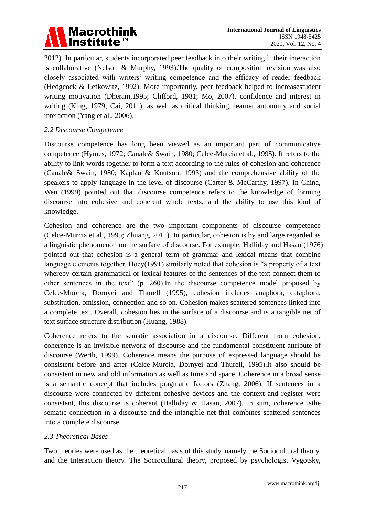

2012). In particular, students incorporated peer feedback into their writing if their interaction is collaborative (Nelson & Murphy, 1993).The quality of composition revision was also closely associated with writers' writing competence and the efficacy of reader feedback (Hedgcock & Lefkowitz, 1992). More importantly, peer feedback helped to increasestudent writing motivation (Dheram,1995; Clifford, 1981; Mo, 2007), confidence and interest in writing (King, 1979; Cai, 2011), as well as critical thinking, learner autonomy and social interaction (Yang et al., 2006).

#### *2.2 Discourse Competence*

Discourse competence has long been viewed as an important part of communicative competence (Hymes, 1972; Canale& Swain, 1980; Celce-Murcia et al., 1995). It refers to the ability to link words together to form a text according to the rules of cohesion and coherence (Canale& Swain, 1980; Kaplan & Knutson, 1993) and the comprehensive ability of the speakers to apply language in the level of discourse (Carter & McCarthy, 1997). In China, Wen (1999) pointed out that discourse competence refers to the knowledge of forming discourse into cohesive and coherent whole texts, and the ability to use this kind of knowledge.

Cohesion and coherence are the two important components of discourse competence (Celce-Murcia et al., 1995; Zhuang, 2011). In particular, cohesion is by and large regarded as a linguistic phenomenon on the surface of discourse. For example, Halliday and Hasan (1976) pointed out that cohesion is a general term of grammar and lexical means that combine language elements together. Hoey(1991) similarly noted that cohesion is "a property of a text whereby certain grammatical or lexical features of the sentences of the text connect them to other sentences in the text" (p. 260).In the discourse competence model proposed by Celce-Murcia, Dornyei and Thurell (1995), cohesion includes anaphora, cataphora, substitution, omission, connection and so on. Cohesion makes scattered sentences linked into a complete text. Overall, cohesion lies in the surface of a discourse and is a tangible net of text surface structure distribution (Huang, 1988).

Coherence refers to the sematic association in a discourse. Different from cohesion, coherence is an invisible network of discourse and the fundamental constituent attribute of discourse (Werth, 1999). Coherence means the purpose of expressed language should be consistent before and after (Celce-Murcia, Dornyei and Thurell, 1995).It also should be consistent in new and old information as well as time and space. Coherence in a broad sense is a semantic concept that includes pragmatic factors (Zhang, 2006). If sentences in a discourse were connected by different cohesive devices and the context and register were consistent, this discourse is coherent (Halliday & Hasan, 2007). In sum, coherence isthe sematic connection in a discourse and the intangible net that combines scattered sentences into a complete discourse.

#### *2.3 Theoretical Bases*

Two theories were used as the theoretical basis of this study, namely the Sociocultural theory, and the Interaction theory. The Sociocultural theory, proposed by psychologist Vygotsky,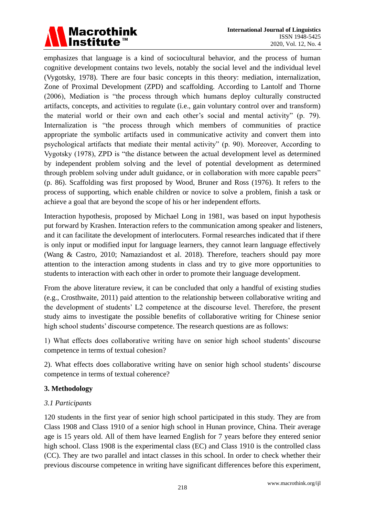

emphasizes that language is a kind of sociocultural behavior, and the process of human cognitive development contains two levels, notably the social level and the individual level (Vygotsky, 1978). There are four basic concepts in this theory: mediation, internalization, Zone of Proximal Development (ZPD) and scaffolding. According to Lantolf and Thorne (2006), Mediation is "the process through which humans deploy culturally constructed artifacts, concepts, and activities to regulate (i.e., gain voluntary control over and transform) the material world or their own and each other's social and mental activity" (p. 79). Internalization is "the process through which members of communities of practice appropriate the symbolic artifacts used in communicative activity and convert them into psychological artifacts that mediate their mental activity" (p. 90). Moreover, According to Vygotsky (1978), ZPD is "the distance between the actual development level as determined by independent problem solving and the level of potential development as determined through problem solving under adult guidance, or in collaboration with more capable peers" (p. 86). Scaffolding was first proposed by Wood, Bruner and Ross (1976). It refers to the process of supporting, which enable children or novice to solve a problem, finish a task or achieve a goal that are beyond the scope of his or her independent efforts.

Interaction hypothesis, proposed by Michael Long in 1981, was based on input hypothesis put forward by Krashen. Interaction refers to the communication among speaker and listeners, and it can facilitate the development of interlocuters. Formal researches indicated that if there is only input or modified input for language learners, they cannot learn language effectively (Wang & Castro, 2010; Namaziandost et al. 2018). Therefore, teachers should pay more attention to the interaction among students in class and try to give more opportunities to students to interaction with each other in order to promote their language development.

From the above literature review, it can be concluded that only a handful of existing studies (e.g., Crosthwaite, 2011) paid attention to the relationship between collaborative writing and the development of students' L2 competence at the discourse level. Therefore, the present study aims to investigate the possible benefits of collaborative writing for Chinese senior high school students' discourse competence. The research questions are as follows:

1) What effects does collaborative writing have on senior high school students' discourse competence in terms of textual cohesion?

2). What effects does collaborative writing have on senior high school students' discourse competence in terms of textual coherence?

#### **3. Methodology**

#### *3.1 Participants*

120 students in the first year of senior high school participated in this study. They are from Class 1908 and Class 1910 of a senior high school in Hunan province, China. Their average age is 15 years old. All of them have learned English for 7 years before they entered senior high school. Class 1908 is the experimental class (EC) and Class 1910 is the controlled class (CC). They are two parallel and intact classes in this school. In order to check whether their previous discourse competence in writing have significant differences before this experiment,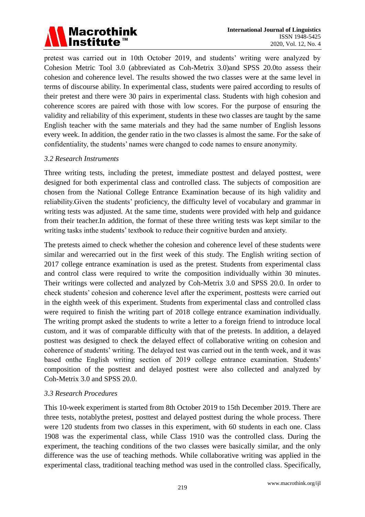

pretest was carried out in 10th October 2019, and students' writing were analyzed by Cohesion Metric Tool 3.0 (abbreviated as Coh-Metrix 3.0)and SPSS 20.0to assess their cohesion and coherence level. The results showed the two classes were at the same level in terms of discourse ability. In experimental class, students were paired according to results of their pretest and there were 30 pairs in experimental class. Students with high cohesion and coherence scores are paired with those with low scores. For the purpose of ensuring the validity and reliability of this experiment, students in these two classes are taught by the same English teacher with the same materials and they had the same number of English lessons every week. In addition, the gender ratio in the two classes is almost the same. For the sake of confidentiality, the students' names were changed to code names to ensure anonymity.

#### *3.2 Research Instruments*

Three writing tests, including the pretest, immediate posttest and delayed posttest, were designed for both experimental class and controlled class. The subjects of composition are chosen from the National College Entrance Examination because of its high validity and reliability.Given the students' proficiency, the difficulty level of vocabulary and grammar in writing tests was adjusted. At the same time, students were provided with help and guidance from their teacher.In addition, the format of these three writing tests was kept similar to the writing tasks inthe students' textbook to reduce their cognitive burden and anxiety.

The pretests aimed to check whether the cohesion and coherence level of these students were similar and werecarried out in the first week of this study. The English writing section of 2017 college entrance examination is used as the pretest. Students from experimental class and control class were required to write the composition individually within 30 minutes. Their writings were collected and analyzed by Coh-Metrix 3.0 and SPSS 20.0. In order to check students' cohesion and coherence level after the experiment, posttests were carried out in the eighth week of this experiment. Students from experimental class and controlled class were required to finish the writing part of 2018 college entrance examination individually. The writing prompt asked the students to write a letter to a foreign friend to introduce local custom, and it was of comparable difficulty with that of the pretests. In addition, a delayed posttest was designed to check the delayed effect of collaborative writing on cohesion and coherence of students' writing. The delayed test was carried out in the tenth week, and it was based onthe English writing section of 2019 college entrance examination. Students' composition of the posttest and delayed posttest were also collected and analyzed by Coh-Metrix 3.0 and SPSS 20.0.

#### *3.3 Research Procedures*

This 10-week experiment is started from 8th October 2019 to 15th December 2019. There are three tests, notablythe pretest, posttest and delayed posttest during the whole process. There were 120 students from two classes in this experiment, with 60 students in each one. Class 1908 was the experimental class, while Class 1910 was the controlled class. During the experiment, the teaching conditions of the two classes were basically similar, and the only difference was the use of teaching methods. While collaborative writing was applied in the experimental class, traditional teaching method was used in the controlled class. Specifically,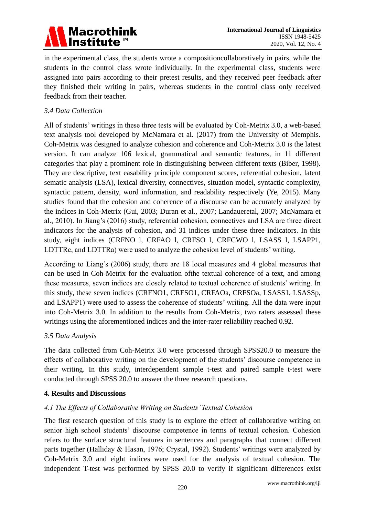

in the experimental class, the students wrote a compositioncollaboratively in pairs, while the students in the control class wrote individually. In the experimental class, students were assigned into pairs according to their pretest results, and they received peer feedback after they finished their writing in pairs, whereas students in the control class only received feedback from their teacher.

#### *3.4 Data Collection*

All of students' writings in these three tests will be evaluated by Coh-Metrix 3.0, a web-based text analysis tool developed by McNamara et al. (2017) from the University of Memphis. Coh-Metrix was designed to analyze cohesion and coherence and Coh-Metrix 3.0 is the latest version. It can analyze 106 lexical, grammatical and semantic features, in 11 different categories that play a prominent role in distinguishing between different texts (Biber, 1998). They are descriptive, text easability principle component scores, referential cohesion, latent sematic analysis (LSA), lexical diversity, connectives, situation model, syntactic complexity, syntactic pattern, density, word information, and readability respectively (Ye, 2015). Many studies found that the cohesion and coherence of a discourse can be accurately analyzed by the indices in Coh-Metrix (Gui, 2003; Duran et al., 2007; Landaueretal, 2007; McNamara et al., 2010). In Jiang's (2016) study, referential cohesion, connectives and LSA are three direct indicators for the analysis of cohesion, and 31 indices under these three indicators. In this study, eight indices (CRFNO l, CRFAO l, CRFSO l, CRFCWO l, LSASS l, LSAPP1, LDTTRc, and LDTTRa) were used to analyze the cohesion level of students' writing.

According to Liang's (2006) study, there are 18 local measures and 4 global measures that can be used in Coh-Metrix for the evaluation ofthe textual coherence of a text, and among these measures, seven indices are closely related to textual coherence of students' writing. In this study, these seven indices (CRFNO1, CRFSO1, CRFAOa, CRFSOa, LSASS1, LSASSp, and LSAPP1) were used to assess the coherence of students' writing. All the data were input into Coh-Metrix 3.0. In addition to the results from Coh-Metrix, two raters assessed these writings using the aforementioned indices and the inter-rater reliability reached 0.92.

#### *3.5 Data Analysis*

The data collected from Coh-Metrix 3.0 were processed through SPSS20.0 to measure the effects of collaborative writing on the development of the students' discourse competence in their writing. In this study, interdependent sample t-test and paired sample t-test were conducted through SPSS 20.0 to answer the three research questions.

#### **4. Results and Discussions**

#### *4.1 The Effects of Collaborative Writing on Students' Textual Cohesion*

The first research question of this study is to explore the effect of collaborative writing on senior high school students' discourse competence in terms of textual cohesion. Cohesion refers to the surface structural features in sentences and paragraphs that connect different parts together (Halliday & Hasan, 1976; Crystal, 1992). Students' writings were analyzed by Coh-Metrix 3.0 and eight indices were used for the analysis of textual cohesion. The independent T-test was performed by SPSS 20.0 to verify if significant differences exist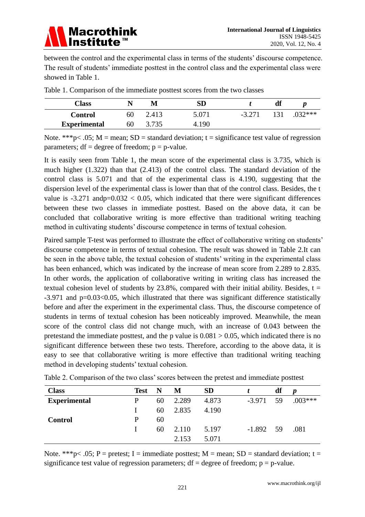# Macrothink<br>Institute™

between the control and the experimental class in terms of the students' discourse competence. The result of students' immediate posttest in the control class and the experimental class were showed in Table 1.

| <b>Class</b>        |    |       | ${\bf SD}$ |      | df |        |
|---------------------|----|-------|------------|------|----|--------|
| Control             | 60 | 2.413 | 5.071      | $-7$ |    | 032*** |
| <b>Experimental</b> | 60 | 3.735 | 4.190      |      |    |        |

Table 1. Comparison of the immediate posttest scores from the two classes

Note. \*\*\*p< .05; M = mean; SD = standard deviation; t = significance test value of regression parameters;  $df = degree of freedom$ ;  $p = p-value$ .

It is easily seen from Table 1, the mean score of the experimental class is 3.735, which is much higher (1.322) than that (2.413) of the control class. The standard deviation of the control class is 5.071 and that of the experimental class is 4.190, suggesting that the dispersion level of the experimental class is lower than that of the control class. Besides, the t value is  $-3.271$  and  $p=0.032 < 0.05$ , which indicated that there were significant differences between these two classes in immediate posttest. Based on the above data, it can be concluded that collaborative writing is more effective than traditional writing teaching method in cultivating students' discourse competence in terms of textual cohesion.

Paired sample T-test was performed to illustrate the effect of collaborative writing on students' discourse competence in terms of textual cohesion. The result was showed in Table 2.It can be seen in the above table, the textual cohesion of students' writing in the experimental class has been enhanced, which was indicated by the increase of mean score from 2.289 to 2.835. In other words, the application of collaborative writing in writing class has increased the textual cohesion level of students by  $23.8\%$ , compared with their initial ability. Besides, t = -3.971 and p=0.03<0.05, which illustrated that there was significant difference statistically before and after the experiment in the experimental class. Thus, the discourse competence of students in terms of textual cohesion has been noticeably improved. Meanwhile, the mean score of the control class did not change much, with an increase of 0.043 between the pretestand the immediate posttest, and the p value is  $0.081 > 0.05$ , which indicated there is no significant difference between these two tests. Therefore, according to the above data, it is easy to see that collaborative writing is more effective than traditional writing teaching method in developing students' textual cohesion.

| <b>Class</b>        | <b>Test</b> | N  | M     | <b>SD</b> |             | df |           |
|---------------------|-------------|----|-------|-----------|-------------|----|-----------|
| <b>Experimental</b> | P           | 60 | 2.289 | 4.873     | $-3.971$ 59 |    | $.003***$ |
|                     |             | 60 | 2.835 | 4.190     |             |    |           |
| <b>Control</b>      | P           | 60 |       |           |             |    |           |
|                     |             | 60 | 2.110 | 5.197     | $-1.892$ 59 |    | .081      |
|                     |             |    | 2.153 | 5.071     |             |    |           |

Table 2. Comparison of the two class' scores between the pretest and immediate posttest

Note. \*\*\*p< .05; P = pretest; I = immediate posttest; M = mean; SD = standard deviation; t = significance test value of regression parameters;  $df = degree of freedom$ ;  $p = p-value$ .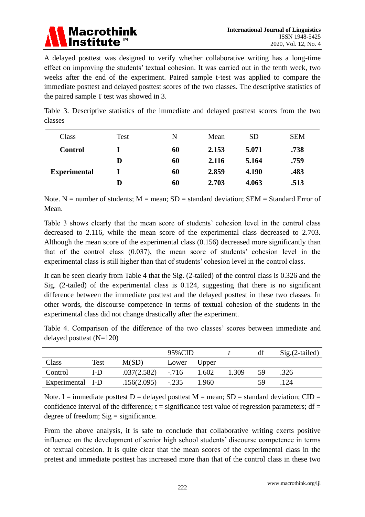

A delayed posttest was designed to verify whether collaborative writing has a long-time effect on improving the students' textual cohesion. It was carried out in the tenth week, two weeks after the end of the experiment. Paired sample t-test was applied to compare the immediate posttest and delayed posttest scores of the two classes. The descriptive statistics of the paired sample T test was showed in 3.

Table 3. Descriptive statistics of the immediate and delayed posttest scores from the two classes

| Class               | Test | N  | Mean  | <b>SD</b> | <b>SEM</b> |
|---------------------|------|----|-------|-----------|------------|
| <b>Control</b>      |      | 60 | 2.153 | 5.071     | .738       |
|                     | D    | 60 | 2.116 | 5.164     | .759       |
| <b>Experimental</b> |      | 60 | 2.859 | 4.190     | .483       |
|                     | D    | 60 | 2.703 | 4.063     | .513       |

Note. N = number of students;  $M =$  mean;  $SD =$  standard deviation;  $SEM =$  Standard Error of Mean.

Table 3 shows clearly that the mean score of students' cohesion level in the control class decreased to 2.116, while the mean score of the experimental class decreased to 2.703. Although the mean score of the experimental class (0.156) decreased more significantly than that of the control class (0.037), the mean score of students' cohesion level in the experimental class is still higher than that of students' cohesion level in the control class.

It can be seen clearly from Table 4 that the Sig. (2-tailed) of the control class is 0.326 and the Sig. (2-tailed) of the experimental class is 0.124, suggesting that there is no significant difference between the immediate posttest and the delayed posttest in these two classes. In other words, the discourse competence in terms of textual cohesion of the students in the experimental class did not change drastically after the experiment.

Table 4. Comparison of the difference of the two classes' scores between immediate and delayed posttest (N=120)

|                  |      |             | 95%CID  |       |       | df | $Sig.(2-tailed)$ |
|------------------|------|-------------|---------|-------|-------|----|------------------|
| Class            | Test | M(SD)       | Lower   | Upper |       |    |                  |
| Control          | I-D  | .037(2.582) | $-716$  | 1.602 | 1.309 | 59 | .326             |
| Experimental I-D |      | .156(2.095) | $-.235$ | 1.960 |       | 59 | 124              |

Note. I = immediate posttest D = delayed posttest M = mean;  $SD$  = standard deviation;  $CID$  = confidence interval of the difference;  $t =$  significance test value of regression parameters; df = degree of freedom;  $Sig = significance$ .

From the above analysis, it is safe to conclude that collaborative writing exerts positive influence on the development of senior high school students' discourse competence in terms of textual cohesion. It is quite clear that the mean scores of the experimental class in the pretest and immediate posttest has increased more than that of the control class in these two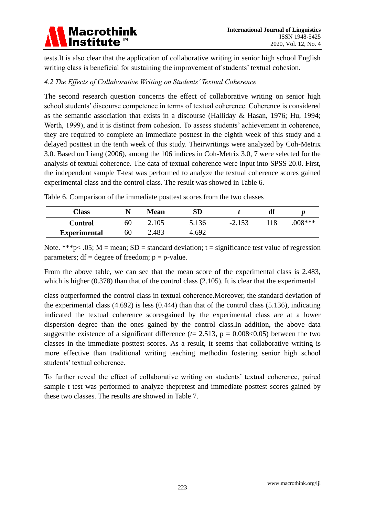### **Macrothink Institute**

tests.It is also clear that the application of collaborative writing in senior high school English writing class is beneficial for sustaining the improvement of students' textual cohesion.

#### *4.2 The Effects of Collaborative Writing on Students' Textual Coherence*

The second research question concerns the effect of collaborative writing on senior high school students' discourse competence in terms of textual coherence. Coherence is considered as the semantic association that exists in a discourse (Halliday & Hasan, 1976; Hu, 1994; Werth, 1999), and it is distinct from cohesion. To assess students' achievement in coherence, they are required to complete an immediate posttest in the eighth week of this study and a delayed posttest in the tenth week of this study. Theirwritings were analyzed by Coh-Metrix 3.0. Based on Liang (2006), among the 106 indices in Coh-Metrix 3.0, 7 were selected for the analysis of textual coherence. The data of textual coherence were input into SPSS 20.0. First, the independent sample T-test was performed to analyze the textual coherence scores gained experimental class and the control class. The result was showed in Table 6.

| <b>Class</b>        |    | <b>Mean</b> | SD    |          | df |           |
|---------------------|----|-------------|-------|----------|----|-----------|
| <b>Control</b>      | 60 | 2.105       | 5.136 | $-2.153$ |    | $.008***$ |
| <b>Experimental</b> | 60 | 2.483       | 4.692 |          |    |           |

Table 6. Comparison of the immediate posttest scores from the two classes

Note. \*\*\*p< .05; M = mean; SD = standard deviation; t = significance test value of regression parameters;  $df = degree of freedom$ ;  $p = p-value$ .

From the above table, we can see that the mean score of the experimental class is 2.483, which is higher (0.378) than that of the control class (2.105). It is clear that the experimental

class outperformed the control class in textual coherence.Moreover, the standard deviation of the experimental class (4.692) is less (0.444) than that of the control class (5.136), indicating indicated the textual coherence scoresgained by the experimental class are at a lower dispersion degree than the ones gained by the control class.In addition, the above data suggest the existence of a significant difference ( $t = 2.513$ ,  $p = 0.008 < 0.05$ ) between the two classes in the immediate posttest scores. As a result, it seems that collaborative writing is more effective than traditional writing teaching methodin fostering senior high school students' textual coherence.

To further reveal the effect of collaborative writing on students' textual coherence, paired sample t test was performed to analyze thepretest and immediate posttest scores gained by these two classes. The results are showed in Table 7.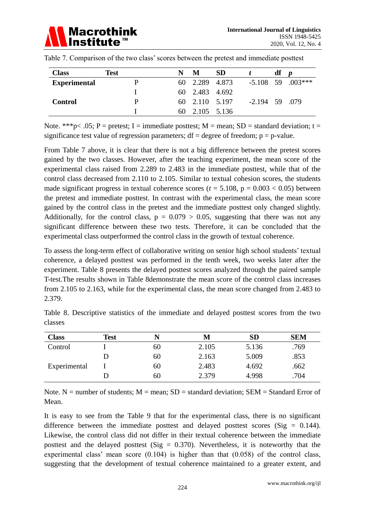

| <b>Class</b>        | Test | N | M              | <b>SD</b> |                  | df |                     |
|---------------------|------|---|----------------|-----------|------------------|----|---------------------|
| <b>Experimental</b> |      |   | 60 2.289 4.873 |           |                  |    | $-5.108$ 59 .003*** |
|                     |      |   | 60 2.483 4.692 |           |                  |    |                     |
| <b>Control</b>      |      |   | 60 2.110 5.197 |           | $-2.194$ 59 .079 |    |                     |
|                     |      |   | 60 2.105 5.136 |           |                  |    |                     |

Table 7. Comparison of the two class' scores between the pretest and immediate posttest

Note. \*\*\*p< .05; P = pretest; I = immediate posttest; M = mean; SD = standard deviation; t = significance test value of regression parameters;  $df = degree of freedom$ ;  $p = p-value$ .

From Table 7 above, it is clear that there is not a big difference between the pretest scores gained by the two classes. However, after the teaching experiment, the mean score of the experimental class raised from 2.289 to 2.483 in the immediate posttest, while that of the control class decreased from 2.110 to 2.105. Similar to textual cohesion scores, the students made significant progress in textual coherence scores ( $t = 5.108$ ,  $p = 0.003 < 0.05$ ) between the pretest and immediate posttest. In contrast with the experimental class, the mean score gained by the control class in the pretest and the immediate posttest only changed slightly. Additionally, for the control class,  $p = 0.079 > 0.05$ , suggesting that there was not any significant difference between these two tests. Therefore, it can be concluded that the experimental class outperformed the control class in the growth of textual coherence.

To assess the long-term effect of collaborative writing on senior high school students' textual coherence, a delayed posttest was performed in the tenth week, two weeks later after the experiment. Table 8 presents the delayed posttest scores analyzed through the paired sample T-test.The results shown in Table 8demonstrate the mean score of the control class increases from 2.105 to 2.163, while for the experimental class, the mean score changed from 2.483 to 2.379.

| <b>Class</b> | Test | N  | М     | <b>SD</b> | <b>SEM</b> |
|--------------|------|----|-------|-----------|------------|
| Control      |      | 60 | 2.105 | 5.136     | .769       |
|              |      | 60 | 2.163 | 5.009     | .853       |
| Experimental |      | 60 | 2.483 | 4.692     | .662       |
|              |      | 60 | 2.379 | 4.998     | .704       |

Table 8. Descriptive statistics of the immediate and delayed posttest scores from the two classes

Note. N = number of students;  $M =$  mean;  $SD =$  standard deviation;  $SEM =$  Standard Error of Mean.

It is easy to see from the Table 9 that for the experimental class, there is no significant difference between the immediate posttest and delayed posttest scores ( $Sig = 0.144$ ). Likewise, the control class did not differ in their textual coherence between the immediate posttest and the delayed posttest (Sig  $= 0.370$ ). Nevertheless, it is noteworthy that the experimental class' mean score (0.104) is higher than that (0.058) of the control class, suggesting that the development of textual coherence maintained to a greater extent, and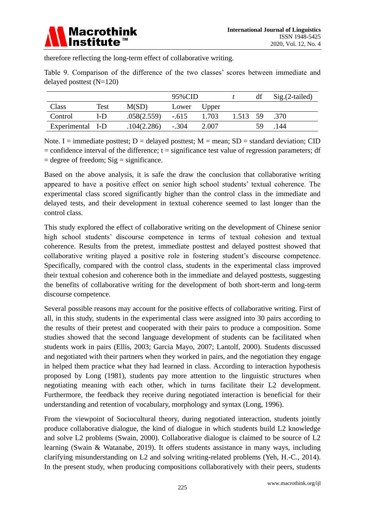

therefore reflecting the long-term effect of collaborative writing.

Table 9. Comparison of the difference of the two classes' scores between immediate and delayed posttest (N=120)

|                  |       |             | 95%CID  |             |          | df   | $Sig.(2-tailed)$ |
|------------------|-------|-------------|---------|-------------|----------|------|------------------|
| Class            | Test  | M(SD)       |         | Lower Upper |          |      |                  |
| Control          | $1-D$ | .058(2.559) | $-.615$ | 1.703       | 1.513 59 |      | .370             |
| Experimental I-D |       | .104(2.286) | $-.304$ | 2.007       |          | -59. | .144             |

Note. I = immediate posttest; D = delayed posttest; M = mean; SD = standard deviation; CID  $=$  confidence interval of the difference;  $t =$  significance test value of regression parameters; df  $=$  degree of freedom;  $Sig =$  significance.

Based on the above analysis, it is safe the draw the conclusion that collaborative writing appeared to have a positive effect on senior high school students' textual coherence. The experimental class scored significantly higher than the control class in the immediate and delayed tests, and their development in textual coherence seemed to last longer than the control class.

This study explored the effect of collaborative writing on the development of Chinese senior high school students' discourse competence in terms of textual cohesion and textual coherence. Results from the pretest, immediate posttest and delayed posttest showed that collaborative writing played a positive role in fostering student's discourse competence. Specifically, compared with the control class, students in the experimental class improved their textual cohesion and coherence both in the immediate and delayed posttests, suggesting the benefits of collaborative writing for the development of both short-term and long-term discourse competence.

Several possible reasons may account for the positive effects of collaborative writing. First of all, in this study, students in the experimental class were assigned into 30 pairs according to the results of their pretest and cooperated with their pairs to produce a composition. Some studies showed that the second language development of students can be facilitated when students work in pairs (Ellis, 2003; Garcia Mayo, 2007; Lantolf, 2000). Students discussed and negotiated with their partners when they worked in pairs, and the negotiation they engage in helped them practice what they had learned in class. According to interaction hypothesis proposed by Long (1981), students pay more attention to the linguistic structures when negotiating meaning with each other, which in turns facilitate their L2 development. Furthermore, the feedback they receive during negotiated interaction is beneficial for their understanding and retention of vocabulary, morphology and syntax (Long, 1996).

From the viewpoint of Sociocultural theory, during negotiated interaction, students jointly produce collaborative dialogue, the kind of dialogue in which students build L2 knowledge and solve L2 problems (Swain, 2000). Collaborative dialogue is claimed to be source of L2 learning (Swain & Watanabe, 2019). It offers students assistance in many ways, including clarifying misunderstanding on L2 and solving writing-related problems (Yeh, H.-C., 2014). In the present study, when producing compositions collaboratively with their peers, students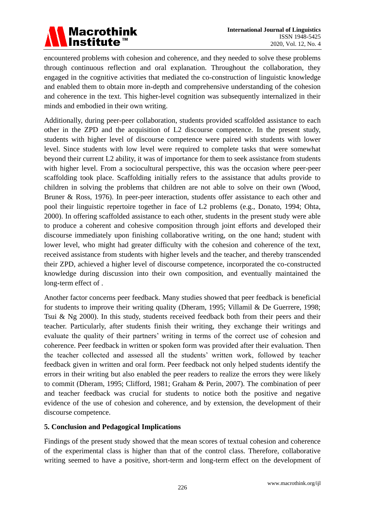

encountered problems with cohesion and coherence, and they needed to solve these problems through continuous reflection and oral explanation. Throughout the collaboration, they engaged in the cognitive activities that mediated the co-construction of linguistic knowledge and enabled them to obtain more in-depth and comprehensive understanding of the cohesion and coherence in the text. This higher-level cognition was subsequently internalized in their minds and embodied in their own writing.

Additionally, during peer-peer collaboration, students provided scaffolded assistance to each other in the ZPD and the acquisition of L2 discourse competence. In the present study, students with higher level of discourse competence were paired with students with lower level. Since students with low level were required to complete tasks that were somewhat beyond their current L2 ability, it was of importance for them to seek assistance from students with higher level. From a sociocultural perspective, this was the occasion where peer-peer scaffolding took place. Scaffolding initially refers to the assistance that adults provide to children in solving the problems that children are not able to solve on their own (Wood, Bruner & Ross, 1976). In peer-peer interaction, students offer assistance to each other and pool their linguistic repertoire together in face of L2 problems (e.g., Donato, 1994; Ohta, 2000). In offering scaffolded assistance to each other, students in the present study were able to produce a coherent and cohesive composition through joint efforts and developed their discourse immediately upon finishing collaborative writing, on the one hand; student with lower level, who might had greater difficulty with the cohesion and coherence of the text, received assistance from students with higher levels and the teacher, and thereby transcended their ZPD, achieved a higher level of discourse competence, incorporated the co-constructed knowledge during discussion into their own composition, and eventually maintained the long-term effect of .

Another factor concerns peer feedback. Many studies showed that peer feedback is beneficial for students to improve their writing quality (Dheram, 1995; Villamil & De Guerrere, 1998; Tsui & Ng 2000). In this study, students received feedback both from their peers and their teacher. Particularly, after students finish their writing, they exchange their writings and evaluate the quality of their partners' writing in terms of the correct use of cohesion and coherence. Peer feedback in written or spoken form was provided after their evaluation. Then the teacher collected and assessed all the students' written work, followed by teacher feedback given in written and oral form. Peer feedback not only helped students identify the errors in their writing but also enabled the peer readers to realize the errors they were likely to commit (Dheram, 1995; Clifford, 1981; Graham & Perin, 2007). The combination of peer and teacher feedback was crucial for students to notice both the positive and negative evidence of the use of cohesion and coherence, and by extension, the development of their discourse competence.

#### **5. Conclusion and Pedagogical Implications**

Findings of the present study showed that the mean scores of textual cohesion and coherence of the experimental class is higher than that of the control class. Therefore, collaborative writing seemed to have a positive, short-term and long-term effect on the development of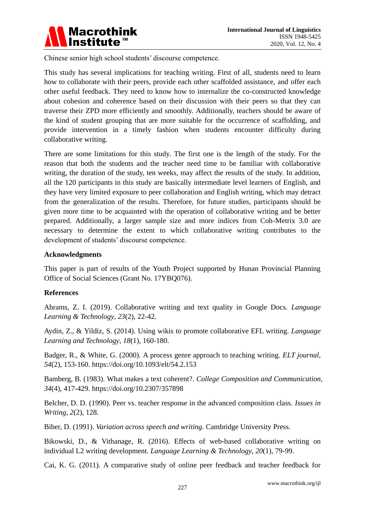

Chinese senior high school students' discourse competence.

This study has several implications for teaching writing. First of all, students need to learn how to collaborate with their peers, provide each other scaffolded assistance, and offer each other useful feedback. They need to know how to internalize the co-constructed knowledge about cohesion and coherence based on their discussion with their peers so that they can traverse their ZPD more efficiently and smoothly. Additionally, teachers should be aware of the kind of student grouping that are more suitable for the occurrence of scaffolding, and provide intervention in a timely fashion when students encounter difficulty during collaborative writing.

There are some limitations for this study. The first one is the length of the study. For the reason that both the students and the teacher need time to be familiar with collaborative writing, the duration of the study, ten weeks, may affect the results of the study. In addition, all the 120 participants in this study are basically intermediate level learners of English, and they have very limited exposure to peer collaboration and English writing, which may detract from the generalization of the results. Therefore, for future studies, participants should be given more time to be acquainted with the operation of collaborative writing and be better prepared. Additionally, a larger sample size and more indices from Coh-Metrix 3.0 are necessary to determine the extent to which collaborative writing contributes to the development of students' discourse competence.

#### **Acknowledgments**

This paper is part of results of the Youth Project supported by Hunan Provincial Planning Office of Social Sciences (Grant No. 17YBQ076).

#### **References**

Abrams, Z. I. (2019). Collaborative writing and text quality in Google Docs. *Language Learning & Technology*, *23*(2), 22-42.

Aydin, Z., & Yildiz, S. (2014). Using wikis to promote collaborative EFL writing. *Language Learning and Technology*, *18*(1), 160-180.

Badger, R., & White, G. (2000). A process genre approach to teaching writing. *ELT journal*, *54*(2), 153-160. https://doi.org/10.1093/elt/54.2.153

Bamberg, B. (1983). What makes a text coherent?. *College Composition and Communication*, *34*(4), 417-429. https://doi.org/10.2307/357898

Belcher, D. D. (1990). Peer vs. teacher response in the advanced composition class. *Issues in Writing*, *2*(2), 128.

Biber, D. (1991). *Variation across speech and writing*. Cambridge University Press.

Bikowski, D., & Vithanage, R. (2016). Effects of web-based collaborative writing on individual L2 writing development. *Language Learning & Technology*, *20*(1), 79-99.

Cai, K. G. (2011). A comparative study of online peer feedback and teacher feedback for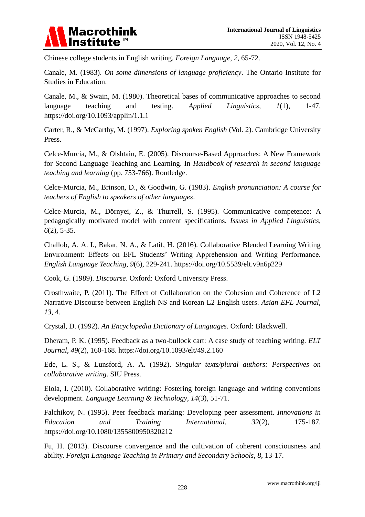

Chinese college students in English writing. *Foreign Language*, *2*, 65-72.

Canale, M. (1983). *On some dimensions of language proficiency*. The Ontario Institute for Studies in Education.

Canale, M., & Swain, M. (1980). Theoretical bases of communicative approaches to second language teaching and testing. *Applied Linguistics*, *1*(1), 1-47. https://doi.org/10.1093/applin/1.1.1

Carter, R., & McCarthy, M. (1997). *Exploring spoken English* (Vol. 2). Cambridge University Press.

Celce-Murcia, M., & Olshtain, E. (2005). Discourse-Based Approaches: A New Framework for Second Language Teaching and Learning. In *Handbook of research in second language teaching and learning* (pp. 753-766). Routledge.

Celce-Murcia, M., Brinson, D., & Goodwin, G. (1983). *English pronunciation: A course for teachers of English to speakers of other languages*.

Celce-Murcia, M., Dörnyei, Z., & Thurrell, S. (1995). Communicative competence: A pedagogically motivated model with content specifications. *Issues in Applied Linguistics*, *6*(2), 5-35.

Challob, A. A. I., Bakar, N. A., & Latif, H. (2016). Collaborative Blended Learning Writing Environment: Effects on EFL Students' Writing Apprehension and Writing Performance. *English Language Teaching*, *9*(6), 229-241. https://doi.org/10.5539/elt.v9n6p229

Cook, G. (1989). *Discourse*. Oxford: Oxford University Press.

Crosthwaite, P. (2011). The Effect of Collaboration on the Cohesion and Coherence of L2 Narrative Discourse between English NS and Korean L2 English users. *Asian EFL Journal*, *13*, 4.

Crystal, D. (1992). *An Encyclopedia Dictionary of Languages*. Oxford: Blackwell.

Dheram, P. K. (1995). Feedback as a two-bullock cart: A case study of teaching writing. *ELT Journal*, *49*(2), 160-168. https://doi.org/10.1093/elt/49.2.160

Ede, L. S., & Lunsford, A. A. (1992). *Singular texts/plural authors: Perspectives on collaborative writing*. SIU Press.

Elola, I. (2010). Collaborative writing: Fostering foreign language and writing conventions development. *Language Learning & Technology*, *14*(3), 51-71.

Falchikov, N. (1995). Peer feedback marking: Developing peer assessment. *Innovations in Education and Training International*, *32*(2), 175-187. https://doi.org/10.1080/1355800950320212

Fu, H. (2013). Discourse convergence and the cultivation of coherent consciousness and ability. *Foreign Language Teaching in Primary and Secondary Schools*, *8*, 13-17.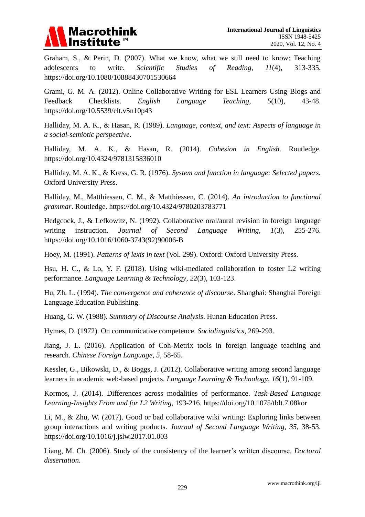

Graham, S., & Perin, D. (2007). What we know, what we still need to know: Teaching adolescents to write. *Scientific Studies of Reading*, *11*(4), 313-335. https://doi.org/10.1080/10888430701530664

Grami, G. M. A. (2012). Online Collaborative Writing for ESL Learners Using Blogs and Feedback Checklists. *English Language Teaching*, *5*(10), 43-48. https://doi.org/10.5539/elt.v5n10p43

Halliday, M. A. K., & Hasan, R. (1989). *Language, context, and text: Aspects of language in a social-semiotic perspective*.

Halliday, M. A. K., & Hasan, R. (2014). *Cohesion in English*. Routledge. https://doi.org/10.4324/9781315836010

Halliday, M. A. K., & Kress, G. R. (1976). *System and function in language: Selected papers.*  Oxford University Press.

Halliday, M., Matthiessen, C. M., & Matthiessen, C. (2014). *An introduction to functional grammar*. Routledge. https://doi.org/10.4324/9780203783771

Hedgcock, J., & Lefkowitz, N. (1992). Collaborative oral/aural revision in foreign language writing instruction. *Journal of Second Language Writing*, *1*(3), 255-276. https://doi.org/10.1016/1060-3743(92)90006-B

Hoey, M. (1991). *Patterns of lexis in text* (Vol. 299). Oxford: Oxford University Press.

Hsu, H. C., & Lo, Y. F. (2018). Using wiki-mediated collaboration to foster L2 writing performance. *Language Learning & Technology*, *22*(3), 103-123.

Hu, Zh. L. (1994). *The convergence and coherence of discourse*. Shanghai: Shanghai Foreign Language Education Publishing.

Huang, G. W. (1988). *Summary of Discourse Analysis*. Hunan Education Press.

Hymes, D. (1972). On communicative competence. *Sociolinguistics*, 269-293.

Jiang, J. L. (2016). Application of Coh-Metrix tools in foreign language teaching and research. *Chinese Foreign Language*, *5*, 58-65.

Kessler, G., Bikowski, D., & Boggs, J. (2012). Collaborative writing among second language learners in academic web-based projects. *Language Learning & Technology*, *16*(1), 91-109.

Kormos, J. (2014). Differences across modalities of performance. *Task-Based Language Learning-Insights From and for L2 Writing*, 193-216. https://doi.org/10.1075/tblt.7.08kor

Li, M., & Zhu, W. (2017). Good or bad collaborative wiki writing: Exploring links between group interactions and writing products. *Journal of Second Language Writing*, *35*, 38-53. https://doi.org/10.1016/j.jslw.2017.01.003

Liang, M. Ch. (2006). Study of the consistency of the learner's written discourse. *Doctoral dissertation.*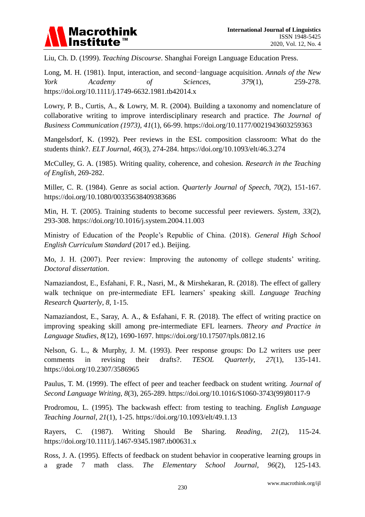

Liu, Ch. D. (1999). *Teaching Discourse*. Shanghai Foreign Language Education Press.

Long, M. H. (1981). Input, interaction, and second-language acquisition. *Annals of the New York Academy of Sciences*, *379*(1), 259-278. https://doi.org/10.1111/j.1749-6632.1981.tb42014.x

Lowry, P. B., Curtis, A., & Lowry, M. R. (2004). Building a taxonomy and nomenclature of collaborative writing to improve interdisciplinary research and practice. *The Journal of Business Communication (1973)*, *41*(1), 66-99. https://doi.org/10.1177/0021943603259363

Mangelsdorf, K. (1992). Peer reviews in the ESL composition classroom: What do the students think?. *ELT Journal*, *46*(3), 274-284. https://doi.org/10.1093/elt/46.3.274

McCulley, G. A. (1985). Writing quality, coherence, and cohesion. *Research in the Teaching of English*, 269-282.

Miller, C. R. (1984). Genre as social action. *Quarterly Journal of Speech*, *70*(2), 151-167. https://doi.org/10.1080/00335638409383686

Min, H. T. (2005). Training students to become successful peer reviewers. *System*, *33*(2), 293-308. https://doi.org/10.1016/j.system.2004.11.003

Ministry of Education of the People's Republic of China. (2018). *General High School English Curriculum Standard* (2017 ed.). Beijing.

Mo, J. H. (2007). Peer review: Improving the autonomy of college students' writing*. Doctoral dissertation*.

Namaziandost, E., Esfahani, F. R., Nasri, M., & Mirshekaran, R. (2018). The effect of gallery walk technique on pre-intermediate EFL learners' speaking skill. *Language Teaching Research Quarterly*, *8*, 1-15.

Namaziandost, E., Saray, A. A., & Esfahani, F. R. (2018). The effect of writing practice on improving speaking skill among pre-intermediate EFL learners. *Theory and Practice in Language Studies*, *8*(12), 1690-1697. https://doi.org/10.17507/tpls.0812.16

Nelson, G. L., & Murphy, J. M. (1993). Peer response groups: Do L2 writers use peer comments in revising their drafts?. *TESOL Quarterly*, *27*(1), 135-141. https://doi.org/10.2307/3586965

Paulus, T. M. (1999). The effect of peer and teacher feedback on student writing. *Journal of Second Language Writing*, *8*(3), 265-289. https://doi.org/10.1016/S1060-3743(99)80117-9

Prodromou, L. (1995). The backwash effect: from testing to teaching. *English Language Teaching Journal*, *21*(1), 1-25. https://doi.org/10.1093/elt/49.1.13

Rayers, C. (1987). Writing Should Be Sharing. *Reading*, *21*(2), 115-24. https://doi.org/10.1111/j.1467-9345.1987.tb00631.x

Ross, J. A. (1995). Effects of feedback on student behavior in cooperative learning groups in a grade 7 math class. *The Elementary School Journal*, *96*(2), 125-143.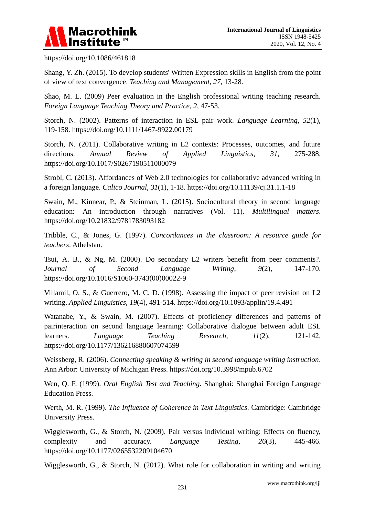

https://doi.org/10.1086/461818

Shang, Y. Zh. (2015). To develop students' Written Expression skills in English from the point of view of text convergence. *Teaching and Management*, *27*, 13-28.

Shao, M. L. (2009) Peer evaluation in the English professional writing teaching research. *Foreign Language Teaching Theory and Practice*, *2*, 47-53.

Storch, N. (2002). Patterns of interaction in ESL pair work. *Language Learning*, *52*(1), 119-158. https://doi.org/10.1111/1467-9922.00179

Storch, N. (2011). Collaborative writing in L2 contexts: Processes, outcomes, and future directions. *Annual Review of Applied Linguistics*, *31*, 275-288. https://doi.org/10.1017/S0267190511000079

Strobl, C. (2013). Affordances of Web 2.0 technologies for collaborative advanced writing in a foreign language. *Calico Journal*, *31*(1), 1-18. https://doi.org/10.11139/cj.31.1.1-18

Swain, M., Kinnear, P., & Steinman, L. (2015). Sociocultural theory in second language education: An introduction through narratives (Vol. 11). *Multilingual matters*. https://doi.org/10.21832/9781783093182

Tribble, C., & Jones, G. (1997). *Concordances in the classroom: A resource guide for teachers*. Athelstan.

Tsui, A. B., & Ng, M. (2000). Do secondary L2 writers benefit from peer comments?. *Journal of Second Language Writing*, *9*(2), 147-170. https://doi.org/10.1016/S1060-3743(00)00022-9

Villamil, O. S., & Guerrero, M. C. D. (1998). Assessing the impact of peer revision on L2 writing. *Applied Linguistics*, *19*(4), 491-514. https://doi.org/10.1093/applin/19.4.491

Watanabe, Y., & Swain, M. (2007). Effects of proficiency differences and patterns of pairinteraction on second language learning: Collaborative dialogue between adult ESL learners. *Language Teaching Research*, *11*(2), 121-142. https://doi.org/10.1177/136216880607074599

Weissberg, R. (2006). *Connecting speaking & writing in second language writing instruction*. Ann Arbor: University of Michigan Press. https://doi.org/10.3998/mpub.6702

Wen, Q. F. (1999). *Oral English Test and Teaching*. Shanghai: Shanghai Foreign Language Education Press.

Werth, M. R. (1999). *The Influence of Coherence in Text Linguistics*. Cambridge: Cambridge University Press.

Wigglesworth, G., & Storch, N. (2009). Pair versus individual writing: Effects on fluency, complexity and accuracy. *Language Testing*, *26*(3), 445-466. https://doi.org/10.1177/0265532209104670

Wigglesworth, G., & Storch, N. (2012). What role for collaboration in writing and writing